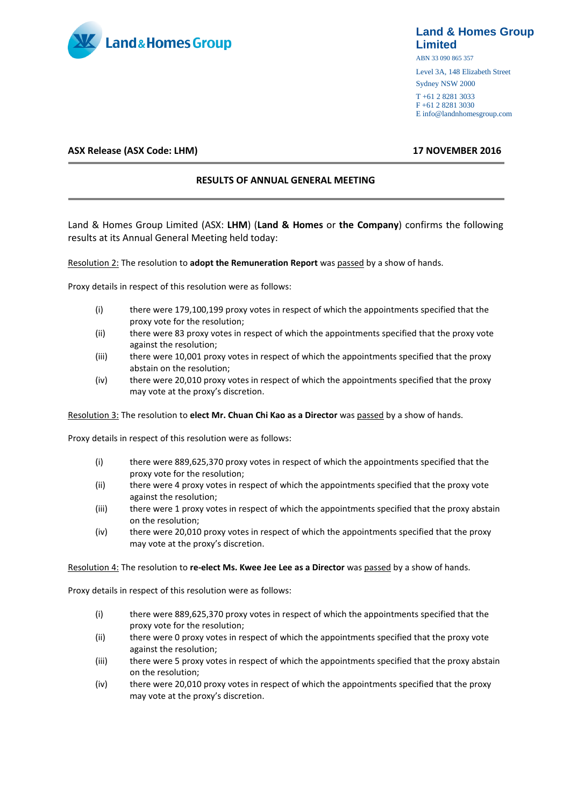

# **Land & Homes Group Limited**

ABN 33 090 865 357

Level 3A, 148 Elizabeth Street Sydney NSW 2000

T +61 2 8281 3033 F +61 2 8281 3030 E info@landnhomesgroup.com

# **ASX Release (ASX Code: LHM) 17 NOVEMBER 2016**

## **RESULTS OF ANNUAL GENERAL MEETING**

Land & Homes Group Limited (ASX: **LHM**) (**Land & Homes** or **the Company**) confirms the following results at its Annual General Meeting held today:

### Resolution 2: The resolution to **adopt the Remuneration Report** was passed by a show of hands.

Proxy details in respect of this resolution were as follows:

- (i) there were 179,100,199 proxy votes in respect of which the appointments specified that the proxy vote for the resolution;
- (ii) there were 83 proxy votes in respect of which the appointments specified that the proxy vote against the resolution;
- (iii) there were 10,001 proxy votes in respect of which the appointments specified that the proxy abstain on the resolution;
- (iv) there were 20,010 proxy votes in respect of which the appointments specified that the proxy may vote at the proxy's discretion.

Resolution 3: The resolution to **elect Mr. Chuan Chi Kao as a Director** was passed by a show of hands.

Proxy details in respect of this resolution were as follows:

- (i) there were 889,625,370 proxy votes in respect of which the appointments specified that the proxy vote for the resolution;
- (ii) there were 4 proxy votes in respect of which the appointments specified that the proxy vote against the resolution;
- (iii) there were 1 proxy votes in respect of which the appointments specified that the proxy abstain on the resolution;
- (iv) there were 20,010 proxy votes in respect of which the appointments specified that the proxy may vote at the proxy's discretion.

#### Resolution 4: The resolution to **re-elect Ms. Kwee Jee Lee as a Director** was passed by a show of hands.

Proxy details in respect of this resolution were as follows:

- (i) there were 889,625,370 proxy votes in respect of which the appointments specified that the proxy vote for the resolution;
- (ii) there were 0 proxy votes in respect of which the appointments specified that the proxy vote against the resolution;
- (iii) there were 5 proxy votes in respect of which the appointments specified that the proxy abstain on the resolution;
- (iv) there were 20,010 proxy votes in respect of which the appointments specified that the proxy may vote at the proxy's discretion.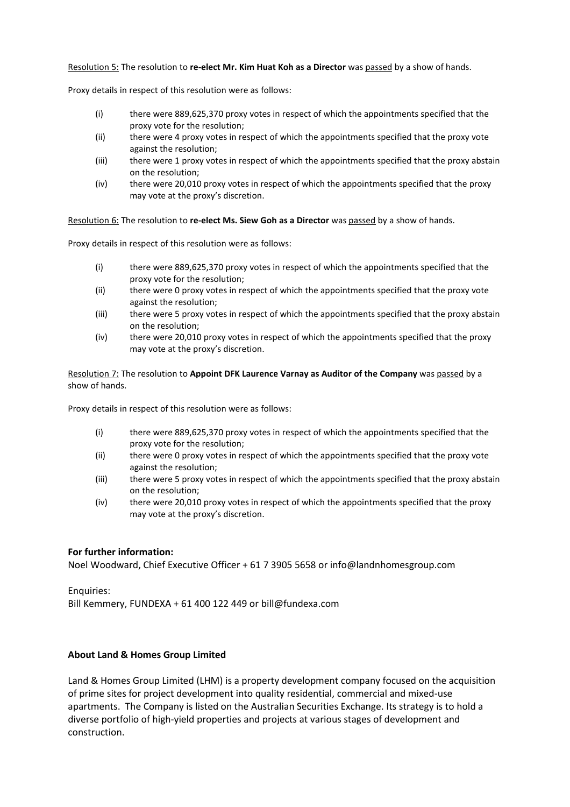Resolution 5: The resolution to **re-elect Mr. Kim Huat Koh as a Director** was passed by a show of hands.

Proxy details in respect of this resolution were as follows:

- (i) there were 889,625,370 proxy votes in respect of which the appointments specified that the proxy vote for the resolution;
- (ii) there were 4 proxy votes in respect of which the appointments specified that the proxy vote against the resolution;
- (iii) there were 1 proxy votes in respect of which the appointments specified that the proxy abstain on the resolution;
- (iv) there were 20,010 proxy votes in respect of which the appointments specified that the proxy may vote at the proxy's discretion.

Resolution 6: The resolution to **re-elect Ms. Siew Goh as a Director** was passed by a show of hands.

Proxy details in respect of this resolution were as follows:

- (i) there were 889,625,370 proxy votes in respect of which the appointments specified that the proxy vote for the resolution;
- (ii) there were 0 proxy votes in respect of which the appointments specified that the proxy vote against the resolution;
- (iii) there were 5 proxy votes in respect of which the appointments specified that the proxy abstain on the resolution;
- (iv) there were 20,010 proxy votes in respect of which the appointments specified that the proxy may vote at the proxy's discretion.

Resolution 7: The resolution to **Appoint DFK Laurence Varnay as Auditor of the Company** was passed by a show of hands.

Proxy details in respect of this resolution were as follows:

- (i) there were 889,625,370 proxy votes in respect of which the appointments specified that the proxy vote for the resolution;
- (ii) there were 0 proxy votes in respect of which the appointments specified that the proxy vote against the resolution;
- (iii) there were 5 proxy votes in respect of which the appointments specified that the proxy abstain on the resolution;
- (iv) there were 20,010 proxy votes in respect of which the appointments specified that the proxy may vote at the proxy's discretion.

# **For further information:**

Noel Woodward, Chief Executive Officer + 61 7 3905 5658 or info@landnhomesgroup.com

Enquiries:

Bill Kemmery, FUNDEXA + 61 400 122 449 or bill@fundexa.com

# **About Land & Homes Group Limited**

Land & Homes Group Limited (LHM) is a property development company focused on the acquisition of prime sites for project development into quality residential, commercial and mixed-use apartments. The Company is listed on the Australian Securities Exchange. Its strategy is to hold a diverse portfolio of high-yield properties and projects at various stages of development and construction.